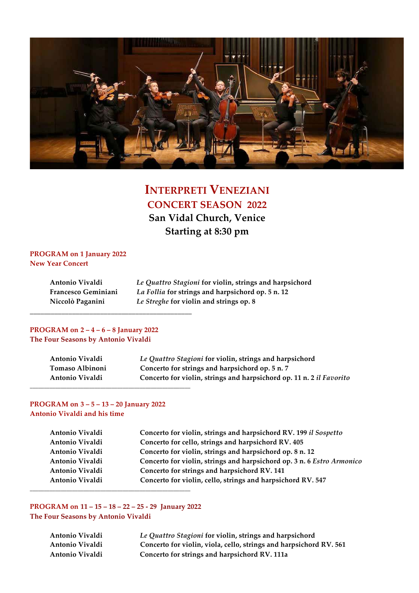

# **INTERPRETI VENEZIANI CONCERT SEASON 2022**

**San Vidal Church, Venice Starting at 8:30 pm**

# **PROGRAM on 1 January 2022 New Year Concert**

| Antonio Vivaldi     | Le Quattro Stagioni for violin, strings and harpsichord |
|---------------------|---------------------------------------------------------|
| Francesco Geminiani | La Follia for strings and harpsichord op. 5 n. 12       |
| Niccolò Paganini    | Le Streghe for violin and strings op. 8                 |

# **PROGRAM on 2 – 4 – 6 – 8 January 2022 The Four Seasons by Antonio Vivaldi**

**\_\_\_\_\_\_\_\_\_\_\_\_\_\_\_\_\_\_\_\_\_\_\_\_\_\_\_\_\_\_\_\_\_\_\_\_\_\_\_\_\_\_\_\_\_\_** 

| Antonio Vivaldi | Le Quattro Stagioni for violin, strings and harpsichord              |
|-----------------|----------------------------------------------------------------------|
| Tomaso Albinoni | Concerto for strings and harpsichord op. 5 n. 7                      |
| Antonio Vivaldi | Concerto for violin, strings and harpsichord op. 11 n. 2 il Favorito |
|                 |                                                                      |

# **PROGRAM on 3 – 5 – 13 – 20 January 2022**

**Antonio Vivaldi and his time**

| Antonio Vivaldi | Concerto for violin, strings and harpsichord RV. 199 il Sospetto       |
|-----------------|------------------------------------------------------------------------|
| Antonio Vivaldi | Concerto for cello, strings and harpsichord RV. 405                    |
| Antonio Vivaldi | Concerto for violin, strings and harpsichord op. 8 n. 12               |
| Antonio Vivaldi | Concerto for violin, strings and harpsichord op. 3 n. 6 Estro Armonico |
| Antonio Vivaldi | Concerto for strings and harpsichord RV. 141                           |
| Antonio Vivaldi | Concerto for violin, cello, strings and harpsichord RV. 547            |
|                 |                                                                        |

**PROGRAM on 11 – 15 – 18 – 22 – 25 -‐‑ 29 January 2022 The Four Seasons by Antonio Vivaldi**

| Antonio Vivaldi | Le Quattro Stagioni for violin, strings and harpsichord            |
|-----------------|--------------------------------------------------------------------|
| Antonio Vivaldi | Concerto for violin, viola, cello, strings and harpsichord RV. 561 |
| Antonio Vivaldi | Concerto for strings and harpsichord RV. 111a                      |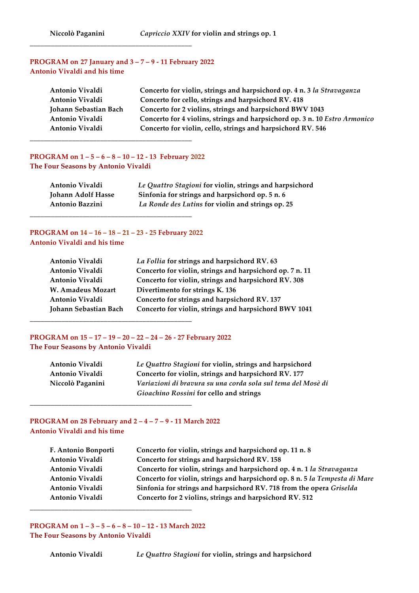# **PROGRAM on 27 January and 3 – 7 – 9 -‐‑ 11 February 2022 Antonio Vivaldi and his time**

**\_\_\_\_\_\_\_\_\_\_\_\_\_\_\_\_\_\_\_\_\_\_\_\_\_\_\_\_\_\_\_\_\_\_\_\_\_\_\_\_\_\_\_\_\_\_**

| Antonio Vivaldi       | Concerto for violin, strings and harpsichord op. 4 n. 3 la Stravaganza     |
|-----------------------|----------------------------------------------------------------------------|
| Antonio Vivaldi       | Concerto for cello, strings and harpsichord RV. 418                        |
| Johann Sebastian Bach | Concerto for 2 violins, strings and harpsichord BWV 1043                   |
| Antonio Vivaldi       | Concerto for 4 violins, strings and harpsichord op. 3 n. 10 Estro Armonico |
| Antonio Vivaldi       | Concerto for violin, cello, strings and harpsichord RV. 546                |

#### **PROGRAM on**  $1 - 5 - 6 - 8 - 10 - 12 - 13$  **February 2022 The Four Seasons by Antonio Vivaldi**

**\_\_\_\_\_\_\_\_\_\_\_\_\_\_\_\_\_\_\_\_\_\_\_\_\_\_\_\_\_\_\_\_\_\_\_\_\_\_\_\_\_\_\_\_\_\_**

| Antonio Vivaldi    | Le Quattro Stagioni for violin, strings and harpsichord |
|--------------------|---------------------------------------------------------|
| Johann Adolf Hasse | Sinfonia for strings and harpsichord op. 5 n. 6         |
| Antonio Bazzini    | La Ronde des Lutins for violin and strings op. 25       |

# **PROGRAM on 14 – 16 – 18 – 21 – 23 - 25 February 2022 Antonio Vivaldi and his time**

**\_\_\_\_\_\_\_\_\_\_\_\_\_\_\_\_\_\_\_\_\_\_\_\_\_\_\_\_\_\_\_\_\_\_\_\_\_\_\_\_\_\_\_\_\_\_**

**\_\_\_\_\_\_\_\_\_\_\_\_\_\_\_\_\_\_\_\_\_\_\_\_\_\_\_\_\_\_\_\_\_\_\_\_\_\_\_\_\_\_\_\_\_\_**

**\_\_\_\_\_\_\_\_\_\_\_\_\_\_\_\_\_\_\_\_\_\_\_\_\_\_\_\_\_\_\_\_\_\_\_\_\_\_\_\_\_\_\_\_\_\_**

| La Follia for strings and harpsichord RV. 63             |
|----------------------------------------------------------|
| Concerto for violin, strings and harpsichord op. 7 n. 11 |
| Concerto for violin, strings and harpsichord RV. 308     |
| Divertimento for strings K. 136                          |
| Concerto for strings and harpsichord RV. 137             |
| Concerto for violin, strings and harpsichord BWV 1041    |
|                                                          |

# **PROGRAM on 15 – 17 – 19 – 20 – 22 – 24 – 26 -‐‑ 27 February 2022 The Four Seasons by Antonio Vivaldi**

| Antonio Vivaldi  | Le Quattro Stagioni for violin, strings and harpsichord      |
|------------------|--------------------------------------------------------------|
| Antonio Vivaldi  | Concerto for violin, strings and harpsichord RV. 177         |
| Niccolò Paganini | Variazioni di bravura su una corda sola sul tema del Mosè di |
|                  | Gioachino Rossini for cello and strings                      |

# **PROGRAM on 28 February and**  $2 - 4 - 7 - 9 - 11$  **March 2022 Antonio Vivaldi and his time**

| F. Antonio Bonporti | Concerto for violin, strings and harpsichord op. 11 n. 8                    |
|---------------------|-----------------------------------------------------------------------------|
| Antonio Vivaldi     | Concerto for strings and harpsichord RV. 158                                |
| Antonio Vivaldi     | Concerto for violin, strings and harpsichord op. 4 n. 1 la Stravaganza      |
| Antonio Vivaldi     | Concerto for violin, strings and harpsichord op. 8 n. 5 la Tempesta di Mare |
| Antonio Vivaldi     | Sinfonia for strings and harpsichord RV. 718 from the opera Griselda        |
| Antonio Vivaldi     | Concerto for 2 violins, strings and harpsichord RV. 512                     |
|                     |                                                                             |

**PROGRAM on**  $1 - 3 - 5 - 6 - 8 - 10 - 12 - 13$  **March 2022 The Four Seasons by Antonio Vivaldi**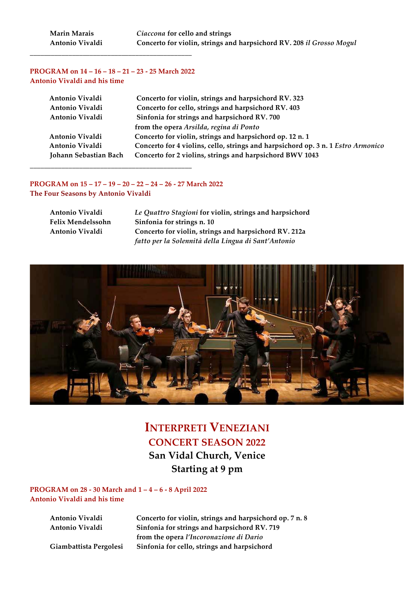#### **PROGRAM on 14 – 16 – 18 – 21 – 23 -‐‑ 25 March 2022 Antonio Vivaldi and his time**

**\_\_\_\_\_\_\_\_\_\_\_\_\_\_\_\_\_\_\_\_\_\_\_\_\_\_\_\_\_\_\_\_\_\_\_\_\_\_\_\_\_\_\_\_\_\_**

| Antonio Vivaldi       | Concerto for violin, strings and harpsichord RV. 323                             |
|-----------------------|----------------------------------------------------------------------------------|
| Antonio Vivaldi       | Concerto for cello, strings and harpsichord RV. 403                              |
| Antonio Vivaldi       | Sinfonia for strings and harpsichord RV. 700                                     |
|                       | from the opera Arsilda, regina di Ponto                                          |
| Antonio Vivaldi       | Concerto for violin, strings and harpsichord op. 12 n. 1                         |
| Antonio Vivaldi       | Concerto for 4 violins, cello, strings and harpsichord op. 3 n. 1 Estro Armonico |
| Johann Sebastian Bach | Concerto for 2 violins, strings and harpsichord BWV 1043                         |
|                       |                                                                                  |

#### **PROGRAM on 15 – 17 – 19 – 20 – 22 – 24 – 26 -‐‑ 27 March 2022 The Four Seasons by Antonio Vivaldi**

| Antonio Vivaldi          | Le Quattro Stagioni for violin, strings and harpsichord |
|--------------------------|---------------------------------------------------------|
| <b>Felix Mendelssohn</b> | Sinfonia for strings n. 10                              |
| Antonio Vivaldi          | Concerto for violin, strings and harpsichord RV. 212a   |
|                          | fatto per la Solennità della Lingua di Sant'Antonio     |



# **INTERPRETI VENEZIANI CONCERT SEASON 2022 San Vidal Church, Venice Starting at 9 pm**

#### **PROGRAM on 28 - 30 March and**  $1 - 4 - 6 - 8$  **April 2022 Antonio Vivaldi and his time**

**Antonio Vivaldi Concerto for violin, strings and harpsichord op. 7 n. 8 Antonio Vivaldi Sinfonia for strings and harpsichord RV. 719 from the opera** *l'Incoronazione di Dario* **Giambattista Pergolesi Sinfonia for cello, strings and harpsichord**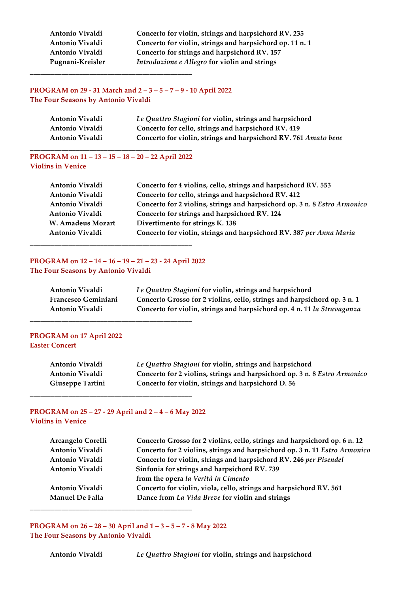**Antonio Vivaldi Concerto for violin, strings and harpsichord RV. 235 Antonio Vivaldi Concerto for violin, strings and harpsichord op. 11 n. 1 Antonio Vivaldi Concerto for strings and harpsichord RV. 157** Pugnani-Kreisler *Introduzione e Allegro* for violin and strings

# **PROGRAM on 29 - 31 March and**  $2 - 3 - 5 - 7 - 9 - 10$  **April 2022 The Four Seasons by Antonio Vivaldi**

| Antonio Vivaldi | Le Quattro Stagioni for violin, strings and harpsichord         |
|-----------------|-----------------------------------------------------------------|
| Antonio Vivaldi | Concerto for cello, strings and harpsichord RV. 419             |
| Antonio Vivaldi | Concerto for violin, strings and harpsichord RV. 761 Amato bene |

#### **PROGRAM on 11 – 13 – 15 – 18 – 20 – 22 April 2022 Violins in Venice**

**\_\_\_\_\_\_\_\_\_\_\_\_\_\_\_\_\_\_\_\_\_\_\_\_\_\_\_\_\_\_\_\_\_\_\_\_\_\_\_\_\_\_\_\_\_\_**

**\_\_\_\_\_\_\_\_\_\_\_\_\_\_\_\_\_\_\_\_\_\_\_\_\_\_\_\_\_\_\_\_\_\_\_\_\_\_\_\_\_\_\_\_\_\_**

| Antonio Vivaldi   | Concerto for 4 violins, cello, strings and harpsichord RV. 553            |
|-------------------|---------------------------------------------------------------------------|
| Antonio Vivaldi   | Concerto for cello, strings and harpsichord RV. 412                       |
| Antonio Vivaldi   | Concerto for 2 violins, strings and harpsichord op. 3 n. 8 Estro Armonico |
| Antonio Vivaldi   | Concerto for strings and harpsichord RV. 124                              |
| W. Amadeus Mozart | Divertimento for strings K. 138                                           |
| Antonio Vivaldi   | Concerto for violin, strings and harpsichord RV. 387 per Anna Maria       |
|                   |                                                                           |

#### **PROGRAM on 12 – 14 – 16 – 19 – 21 – 23 -‐‑ 24 April 2022 The Four Seasons by Antonio Vivaldi**

**\_\_\_\_\_\_\_\_\_\_\_\_\_\_\_\_\_\_\_\_\_\_\_\_\_\_\_\_\_\_\_\_\_\_\_\_\_\_\_\_\_\_\_\_\_\_**

**\_\_\_\_\_\_\_\_\_\_\_\_\_\_\_\_\_\_\_\_\_\_\_\_\_\_\_\_\_\_\_\_\_\_\_\_\_\_\_\_\_\_\_\_\_\_**

| Antonio Vivaldi            | Le Quattro Stagioni for violin, strings and harpsichord                  |
|----------------------------|--------------------------------------------------------------------------|
| <b>Francesco Geminiani</b> | Concerto Grosso for 2 violins, cello, strings and harpsichord op. 3 n. 1 |
| Antonio Vivaldi            | Concerto for violin, strings and harpsichord op. 4 n. 11 la Stravaganza  |

#### **PROGRAM on 17 April 2022 Easter Concert**

| Antonio Vivaldi         | Le Quattro Stagioni for violin, strings and harpsichord                   |
|-------------------------|---------------------------------------------------------------------------|
| Antonio Vivaldi         | Concerto for 2 violins, strings and harpsichord op. 3 n. 8 Estro Armonico |
| <b>Giuseppe Tartini</b> | Concerto for violin, strings and harpsichord D. 56                        |

#### **PROGRAM on 25 – 27 -‐‑ 29 April and 2 – 4 – 6 May 2022 Violins in Venice**

**\_\_\_\_\_\_\_\_\_\_\_\_\_\_\_\_\_\_\_\_\_\_\_\_\_\_\_\_\_\_\_\_\_\_\_\_\_\_\_\_\_\_\_\_\_\_**

**\_\_\_\_\_\_\_\_\_\_\_\_\_\_\_\_\_\_\_\_\_\_\_\_\_\_\_\_\_\_\_\_\_\_\_\_\_\_\_\_\_\_\_\_\_\_**

| Arcangelo Corelli | Concerto Grosso for 2 violins, cello, strings and harpsichord op. 6 n. 12  |
|-------------------|----------------------------------------------------------------------------|
| Antonio Vivaldi   | Concerto for 2 violins, strings and harpsichord op. 3 n. 11 Estro Armonico |
| Antonio Vivaldi   | Concerto for violin, strings and harpsichord RV. 246 per Pisendel          |
| Antonio Vivaldi   | Sinfonia for strings and harpsichord RV. 739                               |
|                   | from the opera la Verità in Cimento                                        |
| Antonio Vivaldi   | Concerto for violin, viola, cello, strings and harpsichord RV. 561         |
| Manuel De Falla   | Dance from La Vida Breve for violin and strings                            |
|                   |                                                                            |

**PROGRAM on 26 – 28 – 30 April and 1 – 3 – 5 – 7 -‐‑ 8 May 2022 The Four Seasons by Antonio Vivaldi**

**Antonio Vivaldi**  *Le Quattro Stagioni* **for violin, strings and harpsichord**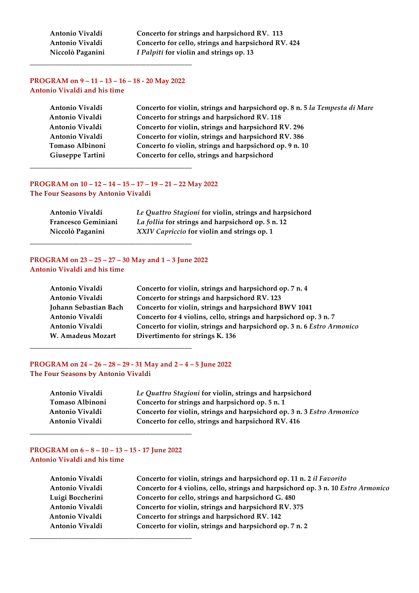Antonio Vivaldi Concerto for strings and harpsichord RV. 113 **Antonio Vivaldi Concerto for cello, strings and harpsichord RV. 424 Niccolò Paganini** *I Palpiti* **for violin and strings op. 13**

#### **PROGRAM on**  $9 - 11 - 13 - 16 - 18 - 20$  **May 2022 Antonio Vivaldi and his time**

**\_\_\_\_\_\_\_\_\_\_\_\_\_\_\_\_\_\_\_\_\_\_\_\_\_\_\_\_\_\_\_\_\_\_\_\_\_\_\_\_\_\_\_\_\_\_**

| Antonio Vivaldi  | Concerto for violin, strings and harpsichord op. 8 n. 5 la Tempesta di Mare |
|------------------|-----------------------------------------------------------------------------|
| Antonio Vivaldi  | Concerto for strings and harpsichord RV. 118                                |
| Antonio Vivaldi  | Concerto for violin, strings and harpsichord RV. 296                        |
| Antonio Vivaldi  | Concerto for violin, strings and harpsichord RV. 386                        |
| Tomaso Albinoni  | Concerto fo violin, strings and harpsichord op. 9 n. 10                     |
| Giuseppe Tartini | Concerto for cello, strings and harpsichord                                 |
|                  |                                                                             |

# **PROGRAM on 10 – 12 – 14 – 15 – 17 – 19 – 21 – 22 May 2022**

**\_\_\_\_\_\_\_\_\_\_\_\_\_\_\_\_\_\_\_\_\_\_\_\_\_\_\_\_\_\_\_\_\_\_\_\_\_\_\_\_\_\_\_\_\_\_**

**The Four Seasons by Antonio Vivaldi**

| Antonio Vivaldi            | Le Quattro Stagioni for violin, strings and harpsichord |
|----------------------------|---------------------------------------------------------|
| <b>Francesco Geminiani</b> | La follia for strings and harpsichord op. 5 n. 12       |
| Niccolò Paganini           | XXIV Capriccio for violin and strings op. 1             |

# **PROGRAM on 23 – 25 – 27 – 30 May and 1 – 3 June 2022 Antonio Vivaldi and his time**

**\_\_\_\_\_\_\_\_\_\_\_\_\_\_\_\_\_\_\_\_\_\_\_\_\_\_\_\_\_\_\_\_\_\_\_\_\_\_\_\_\_\_\_\_\_\_**

| Antonio Vivaldi       | Concerto for violin, strings and harpsichord op. 7 n. 4                |
|-----------------------|------------------------------------------------------------------------|
| Antonio Vivaldi       | Concerto for strings and harpsichord RV. 123                           |
| Johann Sebastian Bach | Concerto for violin, strings and harpsichord BWV 1041                  |
| Antonio Vivaldi       | Concerto for 4 violins, cello, strings and harpsichord op. 3 n. 7      |
| Antonio Vivaldi       | Concerto for violin, strings and harpsichord op. 3 n. 6 Estro Armonico |
| W. Amadeus Mozart     | Divertimento for strings K. 136                                        |
|                       |                                                                        |

# **PROGRAM on 24 – 26 – 28 – 29 -‐‑ 31 May and 2 – 4 – 5 June 2022 The Four Seasons by Antonio Vivaldi**

| Antonio Vivaldi | Le Quattro Stagioni for violin, strings and harpsichord                |
|-----------------|------------------------------------------------------------------------|
| Tomaso Albinoni | Concerto for strings and harpsichord op. 5 n. 1                        |
| Antonio Vivaldi | Concerto for violin, strings and harpsichord op. 3 n. 3 Estro Armonico |
| Antonio Vivaldi | Concerto for cello, strings and harpsichord RV. 416                    |
|                 |                                                                        |

# **PROGRAM on 6 – 8 – 10 – 13 – 15 -‐‑ 17 June 2022 Antonio Vivaldi and his time**

**\_\_\_\_\_\_\_\_\_\_\_\_\_\_\_\_\_\_\_\_\_\_\_\_\_\_\_\_\_\_\_\_\_\_\_\_\_\_\_\_\_\_\_\_\_\_**

**\_\_\_\_\_\_\_\_\_\_\_\_\_\_\_\_\_\_\_\_\_\_\_\_\_\_\_\_\_\_\_\_\_\_\_\_\_\_\_\_\_\_\_\_\_\_**

| Antonio Vivaldi  | Concerto for violin, strings and harpsichord op. 11 n. 2 il Favorito              |
|------------------|-----------------------------------------------------------------------------------|
| Antonio Vivaldi  | Concerto for 4 violins, cello, strings and harpsichord op. 3 n. 10 Estro Armonico |
| Luigi Boccherini | Concerto for cello, strings and harpsichord G. 480                                |
| Antonio Vivaldi  | Concerto for violin, strings and harpsichord RV. 375                              |
| Antonio Vivaldi  | Concerto for strings and harpsichord RV. 142                                      |
| Antonio Vivaldi  | Concerto for violin, strings and harpsichord op. 7 n. 2                           |
|                  |                                                                                   |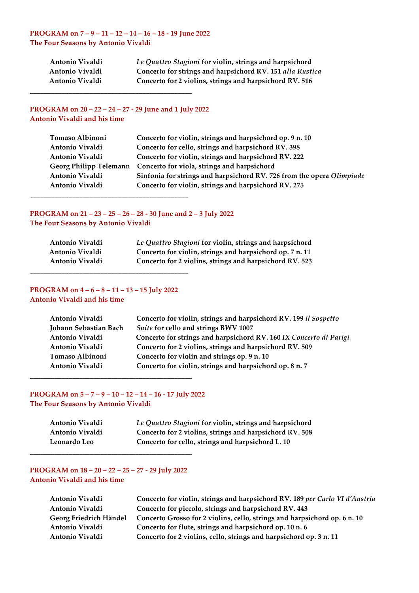#### **PROGRAM on 7 – 9 – 11 – 12 – 14 – 16 – 18 -‐‑ 19 June 2022 The Four Seasons by Antonio Vivaldi**

| Antonio Vivaldi | Le Quattro Stagioni for violin, strings and harpsichord   |
|-----------------|-----------------------------------------------------------|
| Antonio Vivaldi | Concerto for strings and harpsichord RV. 151 alla Rustica |
| Antonio Vivaldi | Concerto for 2 violins, strings and harpsichord RV. 516   |

# **PROGRAM on 20 – 22 – 24 – 27 -‐‑ 29 June and 1 July 2022 Antonio Vivaldi and his time**

**\_\_\_\_\_\_\_\_\_\_\_\_\_\_\_\_\_\_\_\_\_\_\_\_\_\_\_\_\_\_\_\_\_\_\_\_\_\_\_\_\_\_\_\_\_\_**

| Tomaso Albinoni | Concerto for violin, strings and harpsichord op. 9 n. 10              |
|-----------------|-----------------------------------------------------------------------|
| Antonio Vivaldi | Concerto for cello, strings and harpsichord RV. 398                   |
| Antonio Vivaldi | Concerto for violin, strings and harpsichord RV. 222                  |
|                 | Georg Philipp Telemann Concerto for viola, strings and harpsichord    |
| Antonio Vivaldi | Sinfonia for strings and harpsichord RV. 726 from the opera Olimpiade |
| Antonio Vivaldi | Concerto for violin, strings and harpsichord RV. 275                  |
|                 |                                                                       |

# **PROGRAM on 21 – 23 – 25 – 26 – 28 - 30 June and 2 – 3 July 2022 The Four Seasons by Antonio Vivaldi**

| Antonio Vivaldi | Le Quattro Stagioni for violin, strings and harpsichord  |
|-----------------|----------------------------------------------------------|
| Antonio Vivaldi | Concerto for violin, strings and harpsichord op. 7 n. 11 |
| Antonio Vivaldi | Concerto for 2 violins, strings and harpsichord RV. 523  |

### **PROGRAM on 4 – 6 – 8 – 11 – 13 – 15 July 2022 Antonio Vivaldi and his time**

**\_\_\_\_\_\_\_\_\_\_\_\_\_\_\_\_\_\_\_\_\_\_\_\_\_\_\_\_\_\_\_\_\_\_\_\_\_\_\_\_\_\_\_\_\_**

| Antonio Vivaldi       | Concerto for violin, strings and harpsichord RV. 199 il Sospetto   |
|-----------------------|--------------------------------------------------------------------|
| Johann Sebastian Bach | Suite for cello and strings BWV 1007                               |
| Antonio Vivaldi       | Concerto for strings and harpsichord RV. 160 IX Concerto di Parigi |
| Antonio Vivaldi       | Concerto for 2 violins, strings and harpsichord RV. 509            |
| Tomaso Albinoni       | Concerto for violin and strings op. 9 n. 10                        |
| Antonio Vivaldi       | Concerto for violin, strings and harpsichord op. 8 n. 7            |

#### **PROGRAM on**  $5 - 7 - 9 - 10 - 12 - 14 - 16 - 17$  **July 2022 The Four Seasons by Antonio Vivaldi**

**\_\_\_\_\_\_\_\_\_\_\_\_\_\_\_\_\_\_\_\_\_\_\_\_\_\_\_\_\_\_\_\_\_\_\_\_\_\_\_\_\_\_\_\_\_\_**

| Antonio Vivaldi | Le Quattro Stagioni for violin, strings and harpsichord |
|-----------------|---------------------------------------------------------|
| Antonio Vivaldi | Concerto for 2 violins, strings and harpsichord RV. 508 |
| Leonardo Leo    | Concerto for cello, strings and harpsichord L. 10       |

#### **PROGRAM on 18 – 20 – 22 – 25 – 27 -‐‑ 29 July 2022 Antonio Vivaldi and his time**

**\_\_\_\_\_\_\_\_\_\_\_\_\_\_\_\_\_\_\_\_\_\_\_\_\_\_\_\_\_\_\_\_\_\_\_\_\_\_\_\_\_\_\_\_\_\_**

**Antonio Vivaldi Concerto for violin, strings and harpsichord RV. 189** *per Carlo VI d'Austria* **Antonio Vivaldi** **Concerto for piccolo, strings and harpsichord RV. 443 Georg Friedrich Händel Concerto Grosso for 2 violins, cello, strings and harpsichord op. 6 n. 10 Antonio Vivaldi** **Concerto for flute, strings and harpsichord op. 10 n. 6**  Antonio Vivaldi Concerto for 2 violins, cello, strings and harpsichord op. 3 n. 11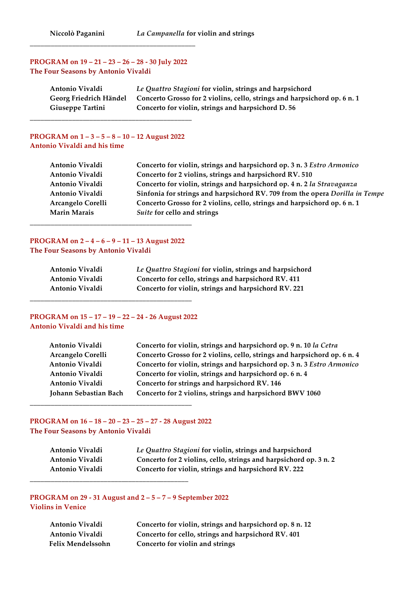# **PROGRAM on 19 – 21 – 23 – 26 – 28 -‐‑ 30 July 2022 The Four Seasons by Antonio Vivaldi**

| Antonio Vivaldi         | Le Quattro Stagioni for violin, strings and harpsichord                                         |
|-------------------------|-------------------------------------------------------------------------------------------------|
|                         | Georg Friedrich Händel Concerto Grosso for 2 violins, cello, strings and harpsichord op. 6 n. 1 |
| <b>Giuseppe Tartini</b> | Concerto for violin, strings and harpsichord D. 56                                              |

#### **PROGRAM on 1 – 3 – 5 – 8 – 10 – 12 August 2022 Antonio Vivaldi and his time**

**\_\_\_\_\_\_\_\_\_\_\_\_\_\_\_\_\_\_\_\_\_\_\_\_\_\_\_\_\_\_\_\_\_\_\_\_\_\_\_\_\_\_\_\_\_\_**

| Antonio Vivaldi     | Concerto for violin, strings and harpsichord op. 3 n. 3 Estro Armonico       |
|---------------------|------------------------------------------------------------------------------|
| Antonio Vivaldi     | Concerto for 2 violins, strings and harpsichord RV. 510                      |
| Antonio Vivaldi     | Concerto for violin, strings and harpsichord op. 4 n. 2 la Stravaganza       |
| Antonio Vivaldi     | Sinfonia for strings and harpsichord RV. 709 from the opera Dorilla in Tempe |
| Arcangelo Corelli   | Concerto Grosso for 2 violins, cello, strings and harpsichord op. 6 n. 1     |
| <b>Marin Marais</b> | <i>Suite</i> for cello and strings                                           |
|                     |                                                                              |

#### **PROGRAM on 2 – 4 – 6 – 9 – 11 – 13 August 2022 The Four Seasons by Antonio Vivaldi**

**\_\_\_\_\_\_\_\_\_\_\_\_\_\_\_\_\_\_\_\_\_\_\_\_\_\_\_\_\_\_\_\_\_\_\_\_\_\_\_\_\_\_\_\_\_\_**

| Antonio Vivaldi | Le Quattro Stagioni for violin, strings and harpsichord |
|-----------------|---------------------------------------------------------|
| Antonio Vivaldi | Concerto for cello, strings and harpsichord RV. 411     |
| Antonio Vivaldi | Concerto for violin, strings and harpsichord RV. 221    |

#### **PROGRAM on 15 – 17 – 19 – 22 – 24 -‐‑ 26 August 2022 Antonio Vivaldi and his time**

**\_\_\_\_\_\_\_\_\_\_\_\_\_\_\_\_\_\_\_\_\_\_\_\_\_\_\_\_\_\_\_\_\_\_\_\_\_\_\_\_\_\_\_\_\_\_**

| Antonio Vivaldi          | Concerto for violin, strings and harpsichord op. 9 n. 10 la Cetra        |
|--------------------------|--------------------------------------------------------------------------|
| <b>Arcangelo Corelli</b> | Concerto Grosso for 2 violins, cello, strings and harpsichord op. 6 n. 4 |
| Antonio Vivaldi          | Concerto for violin, strings and harpsichord op. 3 n. 3 Estro Armonico   |
| Antonio Vivaldi          | Concerto for violin, strings and harpsichord op. 6 n. 4                  |
| Antonio Vivaldi          | Concerto for strings and harpsichord RV. 146                             |
| Johann Sebastian Bach    | Concerto for 2 violins, strings and harpsichord BWV 1060                 |
|                          |                                                                          |

# **PROGRAM on 16 – 18 – 20 – 23 – 25 – 27 -‐‑ 28 August 2022 The Four Seasons by Antonio Vivaldi**

**\_\_\_\_\_\_\_\_\_\_\_\_\_\_\_\_\_\_\_\_\_\_\_\_\_\_\_\_\_\_\_\_\_\_\_\_\_\_\_\_\_\_\_\_\_\_**

**\_\_\_\_\_\_\_\_\_\_\_\_\_\_\_\_\_\_\_\_\_\_\_\_\_\_\_\_\_\_\_\_\_\_\_\_\_\_\_\_\_\_\_\_\_**

| Antonio Vivaldi | Le Quattro Stagioni for violin, strings and harpsichord           |
|-----------------|-------------------------------------------------------------------|
| Antonio Vivaldi | Concerto for 2 violins, cello, strings and harpsichord op. 3 n. 2 |
| Antonio Vivaldi | Concerto for violin, strings and harpsichord RV. 222              |

#### **PROGRAM on 29 - 31 August and**  $2-5-7-9$  **September 2022 Violins in Venice**

**Antonio Vivaldi Concerto for violin, strings and harpsichord op. 8 n. 12 Antonio Vivaldi Concerto for cello, strings and harpsichord RV. 401 Felix Mendelssohn Concerto for violin and strings**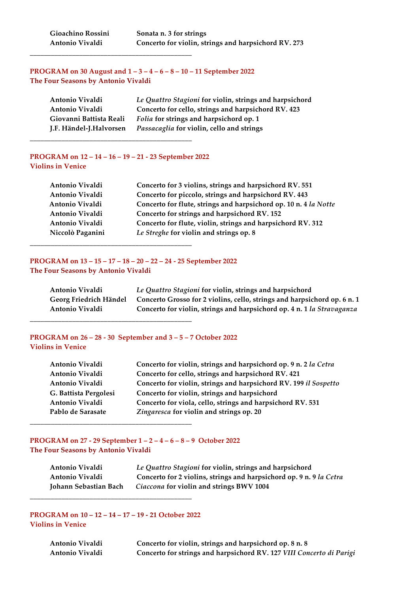#### **PROGRAM on 30 August and 1 – 3 – 4 – 6 – 8 – 10 – 11 September 2022 The Four Seasons by Antonio Vivaldi**

| Antonio Vivaldi         | Le Quattro Stagioni for violin, strings and harpsichord |
|-------------------------|---------------------------------------------------------|
| Antonio Vivaldi         | Concerto for cello, strings and harpsichord RV. 423     |
| Giovanni Battista Reali | Folia for strings and harpsichord op. 1                 |
| J.F. Händel-J.Halvorsen | Passacaglia for violin, cello and strings               |

#### **PROGRAM on 12 – 14 – 16 – 19 – 21 -‐‑ 23 September 2022 Violins in Venice**

**\_\_\_\_\_\_\_\_\_\_\_\_\_\_\_\_\_\_\_\_\_\_\_\_\_\_\_\_\_\_\_\_\_\_\_\_\_\_\_\_\_\_\_\_\_\_**

**\_\_\_\_\_\_\_\_\_\_\_\_\_\_\_\_\_\_\_\_\_\_\_\_\_\_\_\_\_\_\_\_\_\_\_\_\_\_\_\_\_\_\_\_\_\_**

**\_\_\_\_\_\_\_\_\_\_\_\_\_\_\_\_\_\_\_\_\_\_\_\_\_\_\_\_\_\_\_\_\_\_\_\_\_\_\_\_\_\_\_\_\_\_**

| Antonio Vivaldi  | Concerto for 3 violins, strings and harpsichord RV. 551          |
|------------------|------------------------------------------------------------------|
| Antonio Vivaldi  | Concerto for piccolo, strings and harpsichord RV. 443            |
| Antonio Vivaldi  | Concerto for flute, strings and harpsichord op. 10 n. 4 la Notte |
| Antonio Vivaldi  | Concerto for strings and harpsichord RV. 152                     |
| Antonio Vivaldi  | Concerto for flute, violin, strings and harpsichord RV. 312      |
| Niccolò Paganini | Le Streghe for violin and strings op. 8                          |
|                  |                                                                  |

#### **PROGRAM on 13 – 15 – 17 – 18 – 20 – 22 – 24 -‐‑ 25 September 2022 The Four Seasons by Antonio Vivaldi**

| Antonio Vivaldi        | Le Quattro Stagioni for violin, strings and harpsichord                  |
|------------------------|--------------------------------------------------------------------------|
| Georg Friedrich Händel | Concerto Grosso for 2 violins, cello, strings and harpsichord op. 6 n. 1 |
| Antonio Vivaldi        | Concerto for violin, strings and harpsichord op. 4 n. 1 la Stravaganza   |
|                        |                                                                          |

# **PROGRAM on 26 – 28 -‐‑ 30 September and 3 – 5 – 7 October 2022 Violins in Venice**

| Antonio Vivaldi       | Concerto for violin, strings and harpsichord op. 9 n. 2 la Cetra |
|-----------------------|------------------------------------------------------------------|
| Antonio Vivaldi       | Concerto for cello, strings and harpsichord RV. 421              |
| Antonio Vivaldi       | Concerto for violin, strings and harpsichord RV. 199 il Sospetto |
| G. Battista Pergolesi | Concerto for violin, strings and harpsichord                     |
| Antonio Vivaldi       | Concerto for viola, cello, strings and harpsichord RV. 531       |
| Pablo de Sarasate     | Zingaresca for violin and strings op. 20                         |
|                       |                                                                  |

#### **PROGRAM on 27 -‐‑ 29 September 1 – 2 – 4 – 6 – 8 – 9 October 2022 The Four Seasons by Antonio Vivaldi**

| Antonio Vivaldi       | Le Quattro Stagioni for violin, strings and harpsichord             |
|-----------------------|---------------------------------------------------------------------|
| Antonio Vivaldi       | Concerto for 2 violins, strings and harpsichord op. 9 n. 9 la Cetra |
| Johann Sebastian Bach | Ciaccona for violin and strings BWV 1004                            |

# **PROGRAM on 10 – 12 – 14 – 17 – 19 -‐‑ 21 October 2022 Violins in Venice**

**\_\_\_\_\_\_\_\_\_\_\_\_\_\_\_\_\_\_\_\_\_\_\_\_\_\_\_\_\_\_\_\_\_\_\_\_\_\_\_\_\_\_\_\_\_\_**

**\_\_\_\_\_\_\_\_\_\_\_\_\_\_\_\_\_\_\_\_\_\_\_\_\_\_\_\_\_\_\_\_\_\_\_\_\_\_\_\_\_\_\_\_\_\_**

**Antonio Vivaldi Concerto for violin, strings and harpsichord op. 8 n. 8 Antonio Vivaldi**  **Concerto for strings and harpsichord RV. 127** *VIII Concerto di Parigi*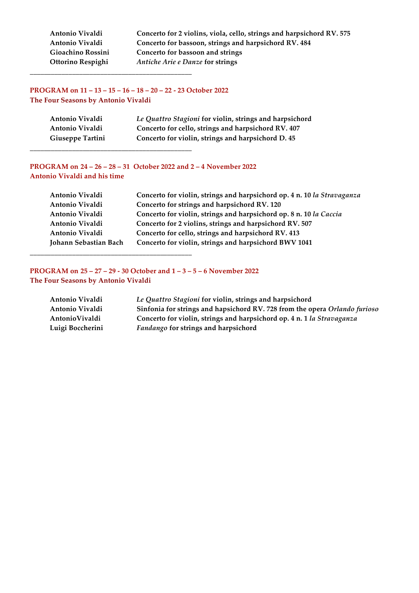**Antonio Vivaldi Concerto for 2 violins, viola, cello, strings and harpsichord RV. 575** Concerto for bassoon, strings and harpsichord RV. 484 Gioachino Rossini **Concerto for bassoon and strings Ottorino Respighi** *Antiche Arie e Danze* **for strings** 

# **PROGRAM on 11 – 13 – 15 – 16 – 18 – 20 – 22 -‐‑ 23 October 2022 The Four Seasons by Antonio Vivaldi**

**\_\_\_\_\_\_\_\_\_\_\_\_\_\_\_\_\_\_\_\_\_\_\_\_\_\_\_\_\_\_\_\_\_\_\_\_\_\_\_\_\_\_\_\_\_\_**

**\_\_\_\_\_\_\_\_\_\_\_\_\_\_\_\_\_\_\_\_\_\_\_\_\_\_\_\_\_\_\_\_\_\_\_\_\_\_\_\_\_\_\_\_\_\_**

**\_\_\_\_\_\_\_\_\_\_\_\_\_\_\_\_\_\_\_\_\_\_\_\_\_\_\_\_\_\_\_\_\_\_\_\_\_\_\_\_\_\_\_\_\_\_**

| Antonio Vivaldi  | Le Quattro Stagioni for violin, strings and harpsichord |
|------------------|---------------------------------------------------------|
| Antonio Vivaldi  | Concerto for cello, strings and harpsichord RV. 407     |
| Giuseppe Tartini | Concerto for violin, strings and harpsichord D. 45      |

# **PROGRAM on 24 – 26 – 28 – 31 October 2022 and 2 – 4 November 2022 Antonio Vivaldi and his time**

| Antonio Vivaldi       | Concerto for violin, strings and harpsichord op. 4 n. 10 la Stravaganza |
|-----------------------|-------------------------------------------------------------------------|
| Antonio Vivaldi       | Concerto for strings and harpsichord RV. 120                            |
| Antonio Vivaldi       | Concerto for violin, strings and harpsichord op. 8 n. 10 la Caccia      |
| Antonio Vivaldi       | Concerto for 2 violins, strings and harpsichord RV. 507                 |
| Antonio Vivaldi       | Concerto for cello, strings and harpsichord RV. 413                     |
| Johann Sebastian Bach | Concerto for violin, strings and harpsichord BWV 1041                   |

# **PROGRAM on 25 – 27 – 29 -‐‑ 30 October and 1 – 3 – 5 – 6 November 2022 The Four Seasons by Antonio Vivaldi**

| Antonio Vivaldi  | Le Quattro Stagioni for violin, strings and harpsichord                    |
|------------------|----------------------------------------------------------------------------|
| Antonio Vivaldi  | Sinfonia for strings and hapsichord RV. 728 from the opera Orlando furioso |
| Antonio Vivaldi  | Concerto for violin, strings and harpsichord op. 4 n. 1 la Stravaganza     |
| Luigi Boccherini | Fandango for strings and harpsichord                                       |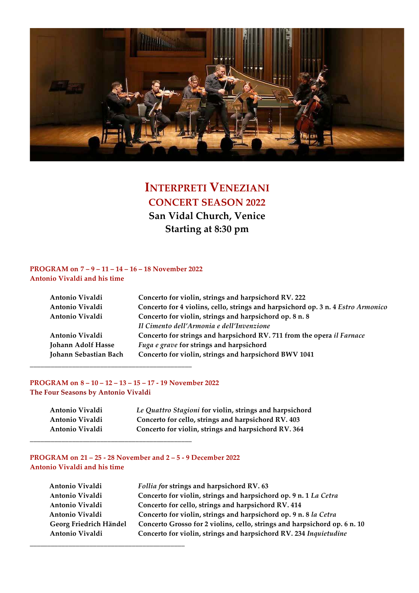

# **INTERPRETI VENEZIANI CONCERT SEASON 2022 San Vidal Church, Venice Starting at 8:30 pm**

#### **PROGRAM on 7 – 9 – 11 – 14 – 16 – 18 November 2022 Antonio Vivaldi and his time**

| Antonio Vivaldi       | Concerto for violin, strings and harpsichord RV. 222                             |
|-----------------------|----------------------------------------------------------------------------------|
| Antonio Vivaldi       | Concerto for 4 violins, cello, strings and harpsichord op. 3 n. 4 Estro Armonico |
| Antonio Vivaldi       | Concerto for violin, strings and harpsichord op. 8 n. 8                          |
|                       | Il Cimento dell'Armonia e dell'Invenzione                                        |
| Antonio Vivaldi       | Concerto for strings and harpsichord RV. 711 from the opera il Farnace           |
| Johann Adolf Hasse    | Fuga e grave for strings and harpsichord                                         |
| Johann Sebastian Bach | Concerto for violin, strings and harpsichord BWV 1041                            |
|                       |                                                                                  |

# **PROGRAM on 8 – 10 – 12 – 13 – 15 – 17 -‐‑ 19 November 2022**

**\_\_\_\_\_\_\_\_\_\_\_\_\_\_\_\_\_\_\_\_\_\_\_\_\_\_\_\_\_\_\_\_\_\_\_\_\_\_\_\_\_\_\_\_\_\_**

**The Four Seasons by Antonio Vivaldi**

| Antonio Vivaldi | Le Quattro Stagioni for violin, strings and harpsichord |
|-----------------|---------------------------------------------------------|
| Antonio Vivaldi | Concerto for cello, strings and harpsichord RV. 403     |
| Antonio Vivaldi | Concerto for violin, strings and harpsichord RV. 364    |

# **PROGRAM on**  $21 - 25 - 28$  **November and**  $2 - 5 - 9$  **December 2022 Antonio Vivaldi and his time**

| Antonio Vivaldi        | Follia for strings and harpsichord RV. 63                                 |
|------------------------|---------------------------------------------------------------------------|
| Antonio Vivaldi        | Concerto for violin, strings and harpsichord op. 9 n. 1 La Cetra          |
| Antonio Vivaldi        | Concerto for cello, strings and harpsichord RV. 414                       |
| Antonio Vivaldi        | Concerto for violin, strings and harpsichord op. 9 n. 8 la Cetra          |
| Georg Friedrich Händel | Concerto Grosso for 2 violins, cello, strings and harpsichord op. 6 n. 10 |
| Antonio Vivaldi        | Concerto for violin, strings and harpsichord RV. 234 Inquietudine         |
|                        |                                                                           |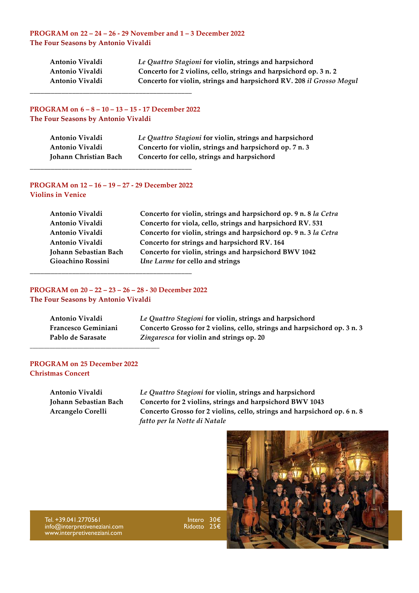#### **PROGRAM on 22 – 24 – 26 -‐‑ 29 November and 1 – 3 December 2022 The Four Seasons by Antonio Vivaldi**

| Antonio Vivaldi | Le Quattro Stagioni for violin, strings and harpsichord              |
|-----------------|----------------------------------------------------------------------|
| Antonio Vivaldi | Concerto for 2 violins, cello, strings and harpsichord op. 3 n. 2    |
| Antonio Vivaldi | Concerto for violin, strings and harpsichord RV. 208 il Grosso Mogul |

# **PROGRAM on**  $6 - 8 - 10 - 13 - 15 - 17$  **December 2022 The Four Seasons by Antonio Vivaldi**

**\_\_\_\_\_\_\_\_\_\_\_\_\_\_\_\_\_\_\_\_\_\_\_\_\_\_\_\_\_\_\_\_\_\_\_\_\_\_\_\_\_\_\_\_\_\_**

| Antonio Vivaldi       | Le Quattro Stagioni for violin, strings and harpsichord |
|-----------------------|---------------------------------------------------------|
| Antonio Vivaldi       | Concerto for violin, strings and harpsichord op. 7 n. 3 |
| Johann Christian Bach | Concerto for cello, strings and harpsichord             |

#### **PROGRAM on 12 – 16 – 19 – 27 -‐‑ 29 December 2022 Violins in Venice**

**\_\_\_\_\_\_\_\_\_\_\_\_\_\_\_\_\_\_\_\_\_\_\_\_\_\_\_\_\_\_\_\_\_\_\_\_\_\_\_\_\_\_\_\_\_\_**

| Antonio Vivaldi       | Concerto for violin, strings and harpsichord op. 9 n. 8 la Cetra |
|-----------------------|------------------------------------------------------------------|
| Antonio Vivaldi       | Concerto for viola, cello, strings and harpsichord RV. 531       |
| Antonio Vivaldi       | Concerto for violin, strings and harpsichord op. 9 n. 3 la Cetra |
| Antonio Vivaldi       | Concerto for strings and harpsichord RV. 164                     |
| Johann Sebastian Bach | Concerto for violin, strings and harpsichord BWV 1042            |
| Gioachino Rossini     | Une Larme for cello and strings                                  |

# **PROGRAM on 20 – 22 – 23 – 26 – 28 -‐‑ 30 December 2022 The Four Seasons by Antonio Vivaldi**

**\_\_\_\_\_\_\_\_\_\_\_\_\_\_\_\_\_\_\_\_\_\_\_\_\_\_\_\_\_\_\_\_\_\_\_\_\_\_\_\_\_\_\_\_\_\_**

| Antonio Vivaldi            | Le Quattro Stagioni for violin, strings and harpsichord                  |
|----------------------------|--------------------------------------------------------------------------|
| <b>Francesco Geminiani</b> | Concerto Grosso for 2 violins, cello, strings and harpsichord op. 3 n. 3 |
| Pablo de Sarasate          | Zingaresca for violin and strings op. 20                                 |
|                            |                                                                          |

#### **PROGRAM on 25 December 2022 Christmas Concert**

**Antonio Vivaldi** *Le Quattro Stagioni* **for violin, strings and harpsichord Johann Sebastian Bach Concerto for 2 violins, strings and harpsichord BWV 1043 Arcangelo Corelli Concerto Grosso for 2 violins, cello, strings and harpsichord op. 6 n. 8** *fatto per la Notte di Natale*



Tel. +39.041.2770561 info@interpretiveneziani.com www.interpretiveneziani.com

Intero 30€ Ridotto 25€